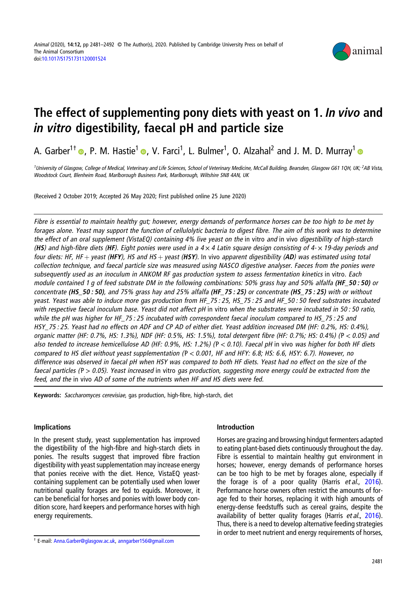

# The effect of supplementing pony diets with yeast on 1. In vivo and in vitro digestibility, faecal pH and particle size

A. Garber<sup>1†</sup>  $\bullet$ [,](https://orcid.org/0000-0001-7845-0114) P. M. Hastie<sup>1</sup>  $\bullet$ , V. Farci<sup>1</sup>, L. Bulmer<sup>1</sup>, O. Alzahal<sup>2</sup> and J. M. D. Murray<sup>1</sup>

<sup>1</sup>University of Glasgow, College of Medical, Veterinary and Life Sciences, School of Veterinary Medicine, McCall Building, Bearsden, Glasgow G61 1QH, UK; <sup>2</sup>AB Vista, Woodstock Court, Blenheim Road, Marlborough Business Park, Marlborough, Wiltshire SN8 4AN, UK

(Received 2 October 2019; Accepted 26 May 2020; First published online 25 June 2020)

Fibre is essential to maintain healthy gut; however, energy demands of performance horses can be too high to be met by forages alone. Yeast may support the function of cellulolytic bacteria to digest fibre. The aim of this work was to determine the effect of an oral supplement (VistaEQ) containing 4% live yeast on the in vitro and in vivo digestibility of high-starch (HS) and high-fibre diets (HF). Eight ponies were used in a  $4 \times 4$  Latin square design consisting of  $4 \times 19$ -day periods and four diets: HF, HF + yeast (HFY), HS and HS + yeast (HSY). In vivo apparent digestibility (AD) was estimated using total collection technique, and faecal particle size was measured using NASCO digestive analyser. Faeces from the ponies were subsequently used as an inoculum in ANKOM RF gas production system to assess fermentation kinetics in vitro. Each module contained 1 g of feed substrate DM in the following combinations: 50% grass hay and 50% alfalfa (HF\_50; 50) or concentrate (HS\_50 : 50), and 75% grass hay and 25% alfalfa (HF\_75 : 25) or concentrate (HS\_75 : 25) with or without yeast. Yeast was able to induce more gas production from HF\_75 : 25, HS\_75 : 25 and HF\_50 : 50 feed substrates incubated with respective faecal inoculum base. Yeast did not affect pH in vitro when the substrates were incubated in 50:50 ratio, while the pH was higher for HF\_75 : 25 incubated with correspondent faecal inoculum compared to HS\_75 : 25 and HSY 75 : 25. Yeast had no effects on ADF and CP AD of either diet. Yeast addition increased DM (HF: 0.2%, HS: 0.4%), organic matter (HF: 0.7%, HS: 1.3%), NDF (HF: 0.5%, HS: 1.5%), total detergent fibre (HF: 0.7%; HS: 0.4%) ( P < 0.05) and also tended to increase hemicellulose AD (HF: 0.9%, HS: 1.2%) ( $P < 0.10$ ). Faecal pH in vivo was higher for both HF diets compared to HS diet without yeast supplementation ( $P < 0.001$ , HF and HFY: 6.8; HS: 6.6, HSY: 6.7). However, no difference was observed in faecal pH when HSY was compared to both HF diets. Yeast had no effect on the size of the faecal particles ( $P > 0.05$ ). Yeast increased in vitro gas production, suggesting more energy could be extracted from the feed, and the in vivo AD of some of the nutrients when HF and HS diets were fed.

Keywords: Saccharomyces cerevisiae, gas production, high-fibre, high-starch, diet

# Implications

In the present study, yeast supplementation has improved the digestibility of the high-fibre and high-starch diets in ponies. The results suggest that improved fibre fraction digestibility with yeast supplementation may increase energy that ponies receive with the diet. Hence, VistaEQ yeastcontaining supplement can be potentially used when lower nutritional quality forages are fed to equids. Moreover, it can be beneficial for horses and ponies with lower body condition score, hard keepers and performance horses with high energy requirements.

## Introduction

Horses are grazing and browsing hindgut fermenters adapted to eating plant-based diets continuously throughout the day. Fibre is essential to maintain healthy gut environment in horses; however, energy demands of performance horses can be too high to be met by forages alone, especially if the forage is of a poor quality (Harris et al., [2016\)](#page-10-0). Performance horse owners often restrict the amounts of forage fed to their horses, replacing it with high amounts of energy-dense feedstuffs such as cereal grains, despite the availability of better quality forages (Harris et al., [2016\)](#page-10-0). Thus, there is a need to develop alternative feeding strategies in order to meet nutrient and energy requirements of horses,

<sup>†</sup> E-mail: [Anna.Garber@glasgow.ac.uk](mailto:Anna.Garber@glasgow.ac.uk), [anngarber156@gmail.com](mailto:anngarber156@gmail.com)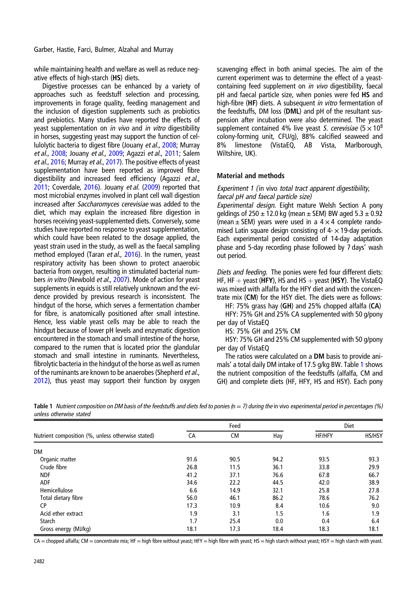while maintaining health and welfare as well as reduce negative effects of high-starch (HS) diets.

Digestive processes can be enhanced by a variety of approaches such as feedstuff selection and processing, improvements in forage quality, feeding management and the inclusion of digestion supplements such as probiotics and prebiotics. Many studies have reported the effects of yeast supplementation on *in vivo* and *in vitro* digestibility in horses, suggesting yeast may support the function of cellulolytic bacteria to digest fibre (Jouany et al., [2008;](#page-10-0) Murray et al., [2008;](#page-10-0) Jouany et al., [2009](#page-10-0); Agazzi et al., [2011;](#page-10-0) Salem et al., [2016](#page-10-0); Murray et al., [2017](#page-10-0)). The positive effects of yeast supplementation have been reported as improved fibre digestibility and increased feed efficiency (Agazzi et al., [2011;](#page-10-0) Coverdale, [2016](#page-10-0)). Jouany et al. ([2009](#page-10-0)) reported that most microbial enzymes involved in plant cell wall digestion increased after Saccharomyces cerevisiae was added to the diet, which may explain the increased fibre digestion in horses receiving yeast-supplemented diets. Conversely, some studies have reported no response to yeast supplementation, which could have been related to the dosage applied, the yeast strain used in the study, as well as the faecal sampling method employed (Taran et al., [2016\)](#page-11-0). In the rumen, yeast respiratory activity has been shown to protect anaerobic bacteria from oxygen, resulting in stimulated bacterial num-bers in vitro (Newbold et al., [2007\)](#page-10-0). Mode of action for yeast supplements in equids is still relatively unknown and the evidence provided by previous research is inconsistent. The hindgut of the horse, which serves a fermentation chamber for fibre, is anatomically positioned after small intestine. Hence, less viable yeast cells may be able to reach the hindgut because of lower pH levels and enzymatic digestion encountered in the stomach and small intestine of the horse, compared to the rumen that is located prior the glandular stomach and small intestine in ruminants. Nevertheless, fibrolytic bacteria in the hindgut of the horse as well as rumen of the ruminants are known to be anaerobes (Shepherd et al., [2012\)](#page-10-0), thus yeast may support their function by oxygen

scavenging effect in both animal species. The aim of the current experiment was to determine the effect of a yeastcontaining feed supplement on in vivo digestibility, faecal pH and faecal particle size, when ponies were fed HS and high-fibre (HF) diets. A subsequent in vitro fermentation of the feedstuffs, DM loss (DML) and pH of the resultant suspension after incubation were also determined. The yeast supplement contained 4% live yeast S. cerevisiae ( $5 \times 10^8$ ) colony-forming unit, CFU/g), 88% calcified seaweed and 8% limestone (VistaEQ, AB Vista, Marlborough, Wiltshire, UK).

# Material and methods

## Experiment 1 (in vivo total tract apparent digestibility, faecal pH and faecal particle size)

Experimental design. Eight mature Welsh Section A pony geldings of  $250 \pm 12.0$  kg (mean  $\pm$  SEM) BW aged  $5.3 \pm 0.92$ (mean  $\pm$  SEM) vears were used in a 4  $\times$  4 complete randomised Latin square design consisting of  $4 - \times 19$ -day periods. Each experimental period consisted of 14-day adaptation phase and 5-day recording phase followed by 7 days' wash out period.

Diets and feeding. The ponies were fed four different diets: HF, HF  $+$  yeast (HFY), HS and HS  $+$  yeast (HSY). The VistaEQ was mixed with alfalfa for the HFY diet and with the concentrate mix (CM) for the HSY diet. The diets were as follows:

HF: 75% grass hay (GH) and 25% chopped alfalfa (CA) HFY: 75% GH and 25% CA supplemented with 50 g/pony

per day of VistaEQ

HS: 75% GH and 25% CM

HSY: 75% GH and 25% CM supplemented with 50 g/pony per day of VistaEQ

The ratios were calculated on a DM basis to provide animals' a total daily DM intake of 17.5 g/kg BW. Table 1 shows the nutrient composition of the feedstuffs (alfalfa, CM and GH) and complete diets (HF, HFY, HS and HSY). Each pony

| Table 1 Nutrient composition on DM basis of the feedstuffs and diets fed to ponies ( $n = 7$ ) during the in vivo experimental period in percentages (%) |
|----------------------------------------------------------------------------------------------------------------------------------------------------------|
| unless otherwise stated                                                                                                                                  |

|                                                   |      | Feed      |      |               | <b>Diet</b>   |
|---------------------------------------------------|------|-----------|------|---------------|---------------|
| Nutrient composition (%, unless otherwise stated) | CA   | <b>CM</b> | Hay  | <b>HF/HFY</b> | <b>HS/HSY</b> |
| DM                                                |      |           |      |               |               |
| Organic matter                                    | 91.6 | 90.5      | 94.2 | 93.5          | 93.3          |
| Crude fibre                                       | 26.8 | 11.5      | 36.1 | 33.8          | 29.9          |
| <b>NDF</b>                                        | 41.2 | 37.1      | 76.6 | 67.8          | 66.7          |
| <b>ADF</b>                                        | 34.6 | 22.2      | 44.5 | 42.0          | 38.9          |
| Hemicellulose                                     | 6.6  | 14.9      | 32.1 | 25.8          | 27.8          |
| Total dietary fibre                               | 56.0 | 46.1      | 86.2 | 78.6          | 76.2          |
| <b>CP</b>                                         | 17.3 | 10.9      | 8.4  | 10.6          | 9.0           |
| Acid ether extract                                | 1.9  | 3.1       | 1.5  | 1.6           | 1.9           |
| Starch                                            | 1.7  | 25.4      | 0.0  | 0.4           | 6.4           |
| Gross energy (MJ/kg)                              | 18.1 | 17.3      | 18.4 | 18.3          | 18.1          |

CA = chopped alfalfa; CM = concentrate mix; HF = high fibre without yeast; HFY = high fibre with yeast; HS = high starch without yeast; HSY = high starch with yeast.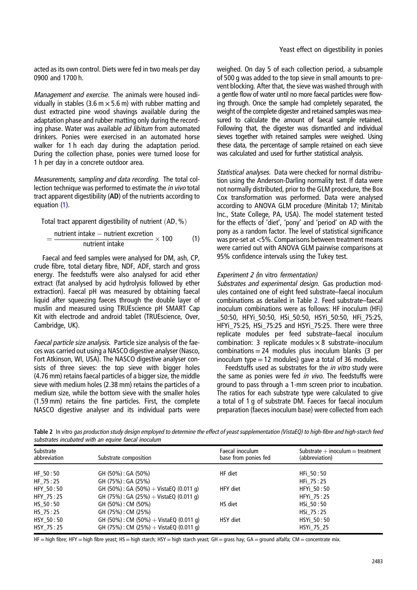acted as its own control. Diets were fed in two meals per day 0900 and 1700 h.

Management and exercise. The animals were housed individually in stables (3.6 m  $\times$  5.6 m) with rubber matting and dust extracted pine wood shavings available during the adaptation phase and rubber matting only during the recording phase. Water was available ad libitum from automated drinkers. Ponies were exercised in an automated horse walker for 1 h each day during the adaptation period. During the collection phase, ponies were turned loose for 1 h per day in a concrete outdoor area.

Measurements, sampling and data recording. The total collection technique was performed to estimate the in vivo total tract apparent digestibility (AD) of the nutrients according to equation (1).

Total tract apparent digestibility of nutrient  $(AD, %)$ 

$$
=\frac{\text{nutrient intake} - \text{nutrient execution}}{\text{nutrient intake}} \times 100
$$
 (1)

Faecal and feed samples were analysed for DM, ash, CP, crude fibre, total dietary fibre, NDF, ADF, starch and gross energy. The feedstuffs were also analysed for acid ether extract (fat analysed by acid hydrolysis followed by ether extraction). Faecal pH was measured by obtaining faecal liquid after squeezing faeces through the double layer of muslin and measured using TRUEscience pH SMART Cap Kit with electrode and android tablet (TRUEscience, Over, Cambridge, UK).

Faecal particle size analysis. Particle size analysis of the faeces was carried out using a NASCO digestive analyser (Nasco, Fort Atkinson, WI, USA). The NASCO digestive analyser consists of three sieves: the top sieve with bigger holes (4.76 mm) retains faecal particles of a bigger size, the middle sieve with medium holes (2.38 mm) retains the particles of a medium size, while the bottom sieve with the smaller holes (1.59 mm) retains the fine particles. First, the complete NASCO digestive analyser and its individual parts were

weighed. On day 5 of each collection period, a subsample of 500 g was added to the top sieve in small amounts to prevent blocking. After that, the sieve was washed through with a gentle flow of water until no more faecal particles were flowing through. Once the sample had completely separated, the weight of the complete digester and retained samples was measured to calculate the amount of faecal sample retained. Following that, the digester was dismantled and individual sieves together with retained samples were weighed. Using these data, the percentage of sample retained on each sieve was calculated and used for further statistical analysis.

Statistical analyses. Data were checked for normal distribution using the Anderson-Darling normality test. If data were not normally distributed, prior to the GLM procedure, the Box Cox transformation was performed. Data were analysed according to ANOVA GLM procedure (Minitab 17; Minitab Inc., State College, PA, USA). The model statement tested for the effects of 'diet', 'pony' and 'period' on AD with the pony as a random factor. The level of statistical significance was pre-set at <5%. Comparisons between treatment means were carried out with ANOVA GLM pairwise comparisons at 95% confidence intervals using the Tukey test.

# Experiment 2 (in vitro fermentation)

Substrates and experimental design. Gas production modules contained one of eight feed substrate–faecal inoculum combinations as detailed in Table 2. Feed substrate–faecal inoculum combinations were as follows: HF inoculum (HFi) \_50:50, HFYi\_50:50, HSi\_50:50, HSYi\_50:50, HFi\_75:25, HFYi\_75:25, HSi\_75:25 and HSYi\_75:25. There were three replicate modules per feed substrate–faecal inoculum combination: 3 replicate modules  $\times$  8 substrate–inoculum combinations  $= 24$  modules plus inoculum blanks (3 per inoculum type  $= 12$  modules) gave a total of 36 modules.

Feedstuffs used as substrates for the *in vitro* study were the same as ponies were fed in vivo. The feedstuffs were ground to pass through a 1-mm screen prior to incubation. The ratios for each substrate type were calculated to give a total of 1 g of substrate DM. Faeces for faecal inoculum preparation (faeces inoculum base) were collected from each

Table 2 In vitro gas production study design employed to determine the effect of yeast supplementation (VistaEQ) to high-fibre and high-starch feed substrates incubated with an equine faecal inoculum

| Substrate<br>abbreviation | Substrate composition                   | Faecal inoculum<br>base from ponies fed | Substrate $+$ inoculum $=$ treatment<br>(abbreviation) |
|---------------------------|-----------------------------------------|-----------------------------------------|--------------------------------------------------------|
| HF 50:50                  | GH (50%) : GA (50%)                     | HF diet                                 | HFi 50:50                                              |
| HF 75:25                  | GH (75%) : GA (25%)                     |                                         | HFi 75:25                                              |
| HFY 50:50                 | GH (50%) : GA (50%) + VistaEQ (0.011 g) | HFY diet                                | HFYi 50:50                                             |
| HFY_75:25                 | GH (75%): GA (25%) + VistaEQ (0.011 g)  |                                         | HFYi 75:25                                             |
| HS 50:50                  | GH (50%) : CM (50%)                     | HS diet                                 | HSi 50:50                                              |
| HS 75:25                  | GH (75%) : CM (25%)                     |                                         | HSi 75:25                                              |
| HSY 50:50                 | GH (50%) : CM (50%) + VistaEQ (0.011 q) | HSY diet                                | HSYi 50:50                                             |
| HSY 75:25                 | GH (75%): CM (25%) + VistaEQ (0.011 q)  |                                         | HSYi 75 25                                             |

HF = high fibre; HFY = high fibre yeast; HS = high starch; HSY = high starch yeast; GH = grass hay; GA = ground alfalfa; CM = concentrate mix.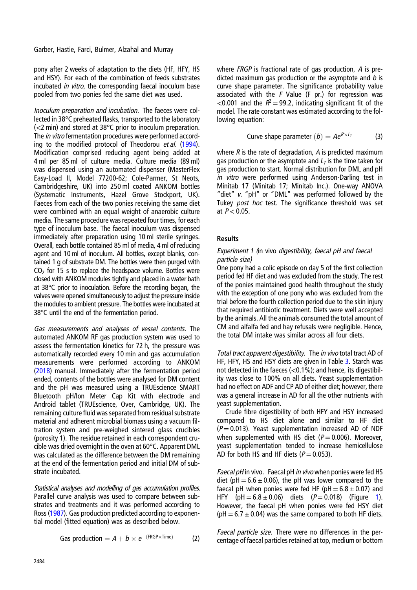pony after 2 weeks of adaptation to the diets (HF, HFY, HS and HSY). For each of the combination of feeds substrates incubated in vitro, the corresponding faecal inoculum base pooled from two ponies fed the same diet was used.

Inoculum preparation and incubation. The faeces were collected in 38°C preheated flasks, transported to the laboratory (<2 min) and stored at 38°C prior to inoculum preparation. The in vitro fermentation procedures were performed accord-ing to the modified protocol of Theodorou et al. [\(1994](#page-11-0)). Modification comprised reducing agent being added at 4 ml per 85 ml of culture media. Culture media (89 ml) was dispensed using an automated dispenser (MasterFlex Easy-Load II, Model 77200-62; Cole-Parmer, St Neots, Cambridgeshire, UK) into 250 ml coated ANKOM bottles (Systematic Instruments, Hazel Grove Stockport, UK). Faeces from each of the two ponies receiving the same diet were combined with an equal weight of anaerobic culture media. The same procedure was repeated four times, for each type of inoculum base. The faecal inoculum was dispensed immediately after preparation using 10 ml sterile syringes. Overall, each bottle contained 85 ml of media, 4 ml of reducing agent and 10 ml of inoculum. All bottles, except blanks, contained 1 g of substrate DM. The bottles were then purged with  $CO<sub>2</sub>$  for 15 s to replace the headspace volume. Bottles were closed with ANKOM modules tightly and placed in a water bath at 38°C prior to inoculation. Before the recording began, the valves were opened simultaneously to adjust the pressure inside the modules to ambient pressure. The bottles were incubated at 38°C until the end of the fermentation period.

Gas measurements and analyses of vessel contents. The automated ANKOM RF gas production system was used to assess the fermentation kinetics for 72 h, the pressure was automatically recorded every 10 min and gas accumulation measurements were performed according to ANKOM [\(2018](#page-10-0)) manual. Immediately after the fermentation period ended, contents of the bottles were analysed for DM content and the pH was measured using a TRUEscience SMART Bluetooth pH/Ion Meter Cap Kit with electrode and Android tablet (TRUEscience, Over, Cambridge, UK). The remaining culture fluid was separated from residual substrate material and adherent microbial biomass using a vacuum filtration system and pre-weighed sintered glass crucibles (porosity 1). The residue retained in each correspondent crucible was dried overnight in the oven at 60°C. Apparent DML was calculated as the difference between the DM remaining at the end of the fermentation period and initial DM of substrate incubated.

Statistical analyses and modelling of gas accumulation profiles. Parallel curve analysis was used to compare between substrates and treatments and it was performed according to Ross [\(1987](#page-10-0)). Gas production predicted according to exponential model (fitted equation) was as described below.

Gas production = 
$$
A + b \times e^{-(FRGP \times Time)}
$$
 (2)

where FRGP is fractional rate of gas production, A is predicted maximum gas production or the asymptote and  $b$  is curve shape parameter. The significance probability value associated with the  $F$  Value (F pr.) for regression was <0.001 and the  $R^2 = 99.2$ , indicating significant fit of the model. The rate constant was estimated according to the following equation:

Curve shape parameter 
$$
(b) = Ae^{R \times L_T}
$$
 (3)

where  $R$  is the rate of degradation,  $A$  is predicted maximum gas production or the asymptote and  $L<sub>T</sub>$  is the time taken for gas production to start. Normal distribution for DML and pH in vitro were performed using Anderson-Darling test in Minitab 17 (Minitab 17; Minitab Inc.). One-way ANOVA "diet" v. "pH" or "DML" was performed followed by the Tukey post hoc test. The significance threshold was set at  $P < 0.05$ .

## Results

## Experiment 1 (in vivo digestibility, faecal pH and faecal particle size)

One pony had a colic episode on day 5 of the first collection period fed HF diet and was excluded from the study. The rest of the ponies maintained good health throughout the study with the exception of one pony who was excluded from the trial before the fourth collection period due to the skin injury that required antibiotic treatment. Diets were well accepted by the animals. All the animals consumed the total amount of CM and alfalfa fed and hay refusals were negligible. Hence, the total DM intake was similar across all four diets.

Total tract apparent digestibility. The in vivo total tract AD of HF, HFY, HS and HSY diets are given in Table [3](#page-4-0). Starch was not detected in the faeces (<0.1%); and hence, its digestibility was close to 100% on all diets. Yeast supplementation had no effect on ADF and CP AD of either diet; however, there was a general increase in AD for all the other nutrients with yeast supplementation.

Crude fibre digestibility of both HFY and HSY increased compared to HS diet alone and similar to HF diet  $(P = 0.013)$ . Yeast supplementation increased AD of NDF when supplemented with HS diet ( $P = 0.006$ ). Moreover, yeast supplementation tended to increase hemicellulose AD for both HS and HF diets  $(P = 0.053)$ .

Faecal pH in vivo. Faecal pH in vivo when ponies were fed HS diet (pH =  $6.6 \pm 0.06$ ), the pH was lower compared to the faecal pH when ponies were fed HF (pH  $= 6.8 \pm 0.07$ ) and HFY (pH =  $6.8 \pm 0.06$ ) diets ( $P = 0.018$ ) (Figure [1\)](#page-5-0). However, the faecal pH when ponies were fed HSY diet ( $pH = 6.7 \pm 0.04$ ) was the same compared to both HF diets.

Faecal particle size. There were no differences in the percentage of faecal particles retained at top, medium or bottom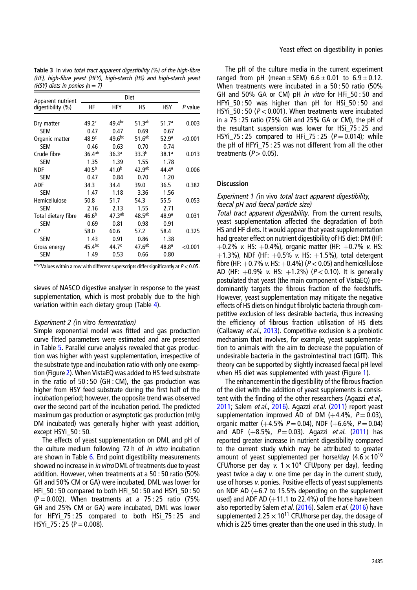| Apparent nutrient   |                    |                    |                    |                   |         |
|---------------------|--------------------|--------------------|--------------------|-------------------|---------|
| digestibility (%)   | НF                 | HFY                | НS                 | HSY               | P value |
| Dry matter          | 49.2 <sup>c</sup>  | $49.4^{bc}$        | $51.3^{ab}$        | 51.7 <sup>a</sup> | 0.003   |
| <b>SEM</b>          | 0.47               | 0.47               | 0.69               | 0.67              |         |
| Organic matter      | 48.9 <sup>c</sup>  | $49.6^{bc}$        | 51.6 <sup>ab</sup> | 52.9 <sup>a</sup> | < 0.001 |
| <b>SEM</b>          | 0.46               | 0.63               | 0.70               | 0.74              |         |
| Crude fibre         | $36.4^{ab}$        | 36.3 <sup>a</sup>  | 33.3 <sup>b</sup>  | 38.1a             | 0.013   |
| <b>SEM</b>          | 1.35               | 1.39               | 1.55               | 1.78              |         |
| <b>NDF</b>          | $40.5^{b}$         | $41.0^{b}$         | 42.9 <sup>ab</sup> | $44.4^a$          | 0.006   |
| <b>SEM</b>          | 0.47               | 0.84               | 0.70               | 1.20              |         |
| ADF                 | 34.3               | 34.4               | 39.0               | 36.5              | 0.382   |
| <b>SEM</b>          | 1.47               | 1.18               | 3.36               | 1.56              |         |
| Hemicellulose       | 50.8               | 51.7               | 54.3               | 55.5              | 0.053   |
| <b>SEM</b>          | 2.16               | 2.13               | 1.55               | 2.71              |         |
| Total dietary fibre | 46.6 <sup>b</sup>  | 47.3 <sup>ab</sup> | $48.5^{ab}$        | 48.9a             | 0.031   |
| <b>SEM</b>          | 0.69               | 0.81               | 0.98               | 0.91              |         |
| СP                  | 58.0               | 60.6               | 57.2               | 58.4              | 0.325   |
| <b>SEM</b>          | 1.43               | 0.91               | 0.86               | 1.38              |         |
| Gross energy        | 45.4 <sup>bc</sup> | 44.7 <sup>c</sup>  | 47.6 <sup>ab</sup> | 48.8 <sup>a</sup> | < 0.001 |
| SEM                 | 1.49               | 0.53               | 0.66               | 0.80              |         |

<span id="page-4-0"></span>Table 3 In vivo total tract apparent digestibility (%) of the high-fibre (HF), high-fibre yeast (HFY), high-starch (HS) and high-starch yeast (HSY) diets in ponies  $(n = 7)$ 

a,b,cValues within a row with different superscripts differ significantly at  $P < 0.05$ .

sieves of NASCO digestive analyser in response to the yeast supplementation, which is most probably due to the high variation within each dietary group (Table [4\)](#page-5-0).

#### Experiment 2 (in vitro fermentation)

Simple exponential model was fitted and gas production curve fitted parameters were estimated and are presented in Table [5.](#page-6-0) Parallel curve analysis revealed that gas production was higher with yeast supplementation, irrespective of the substrate type and incubation ratio with only one exemption (Figure [2\)](#page-6-0). When VistaEQ was added to HS feed substrate in the ratio of 50 : 50 (GH : CM), the gas production was higher from HSY feed substrate during the first half of the incubation period; however, the opposite trend was observed over the second part of the incubation period. The predicted maximum gas production or asymptotic gas production (ml/g DM incubated) was generally higher with yeast addition, except HSYi\_50 : 50.

The effects of yeast supplementation on DML and pH of the culture medium following 72 h of in vitro incubation are shown in Table [6.](#page-7-0) End point digestibility measurements showed no increase in in vitro DML of treatments due to yeast addition. However, when treatments at a 50 : 50 ratio (50% GH and 50% CM or GA) were incubated, DML was lower for HFi\_50 : 50 compared to both HFi\_50 : 50 and HSYi\_50 : 50  $(P = 0.002)$ . When treatments at a 75:25 ratio (75%) GH and 25% CM or GA) were incubated, DML was lower for HFYi\_75 : 25 compared to both HSi\_75 : 25 and  $HSYi_75 : 25 (P = 0.008).$ 

The pH of the culture media in the current experiment ranged from pH (mean  $\pm$  SEM) 6.6  $\pm$  0.01 to 6.9  $\pm$  0.12. When treatments were incubated in a 50 : 50 ratio (50% GH and 50% GA or CM) pH in vitro for HFi\_50 : 50 and HFYi\_50 : 50 was higher than pH for HSi\_50 : 50 and HSYi\_50 : 50 ( $P < 0.001$ ). When treatments were incubated in a 75 : 25 ratio (75% GH and 25% GA or CM), the pH of the resultant suspension was lower for HSi\_75 : 25 and HSYi\_75 : 25 compared to HFi\_75 : 25 ( $P = 0.014$ ); while the pH of HFYi\_75 : 25 was not different from all the other treatments  $(P > 0.05)$ .

## **Discussion**

#### Experiment 1 (in vivo total tract apparent digestibility, faecal pH and faecal particle size)

Total tract apparent digestibility. From the current results, yeast supplementation affected the degradation of both HS and HF diets. It would appear that yeast supplementation had greater effect on nutrient digestibility of HS diet: DM (HF:  $+0.2\%$  v. HS:  $+0.4\%$ ), organic matter (HF:  $+0.7\%$  v. HS:  $+1.3\%$ ), NDF (HF:  $+0.5\%$  v. HS:  $+1.5\%$ ), total detergent fibre (HF:  $+0.7\%$  v. HS:  $+0.4\%$ ) ( $P < 0.05$ ) and hemicellulose AD (HF:  $+0.9\%$  v. HS:  $+1.2\%$ ) ( $P < 0.10$ ). It is generally postulated that yeast (the main component of VistaEQ) predominantly targets the fibrous fraction of the feedstuffs. However, yeast supplementation may mitigate the negative effects of HS diets on hindgut fibrolytic bacteria through competitive exclusion of less desirable bacteria, thus increasing the efficiency of fibrous fraction utilisation of HS diets (Callaway et al., [2013\)](#page-10-0). Competitive exclusion is a probiotic mechanism that involves, for example, yeast supplementation to animals with the aim to decrease the population of undesirable bacteria in the gastrointestinal tract (GIT). This theory can be supported by slightly increased faecal pH level when HS diet was supplemented with yeast (Figure [1\)](#page-5-0).

The enhancement in the digestibility of the fibrous fraction of the diet with the addition of yeast supplements is consistent with the finding of the other researchers (Agazzi et al., [2011;](#page-10-0) Salem *et al.*, [2016\)](#page-10-0). Agazzi *et al.* ([2011\)](#page-10-0) report yeast supplementation improved AD of DM  $(+4.4\%, P=0.03)$ , organic matter (+4.5%  $P = 0.04$ ), NDF (+6.6%,  $P = 0.04$ ) and ADF  $(+8.5\%, P = 0.03)$ . Agazzi *et al.* ([2011\)](#page-10-0) has reported greater increase in nutrient digestibility compared to the current study which may be attributed to greater amount of yeast supplemented per horse/day  $(4.6 \times 10^{10}$ CFU/horse per day v.  $1 \times 10^9$  CFU/pony per day), feeding yeast twice a day v. one time per day in the current study, use of horses v. ponies. Positive effects of yeast supplements on NDF AD  $(+6.7)$  to 15.5% depending on the supplement used) and ADF AD  $(+11.1$  to 22.4%) of the horse have been also reported by Salem et al. [\(2016](#page-10-0)). Salem et al. (2016) have supplemented 2.25  $\times$  10<sup>11</sup> CFU/horse per day, the dosage of which is 225 times greater than the one used in this study. In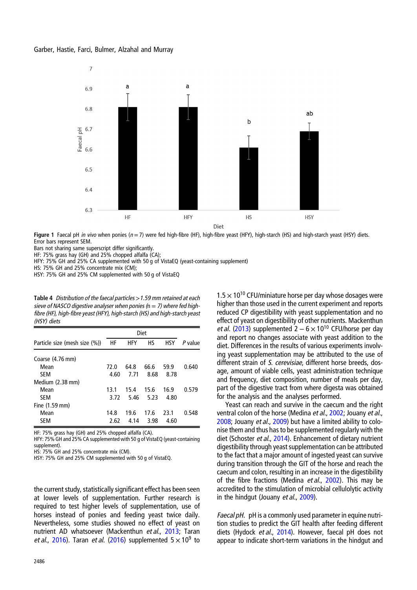<span id="page-5-0"></span>

Figure 1 Faecal pH in vivo when ponies ( $n = 7$ ) were fed high-fibre (HF), high-fibre yeast (HFY), high-starch (HS) and high-starch yeast (HSY) diets. Error bars represent SEM.

Bars not sharing same superscript differ significantly.

HF: 75% grass hay (GH) and 25% chopped alfalfa (CA);

HFY: 75% GH and 25% CA supplemented with 50 g of VistaEQ (yeast-containing supplement)

HS: 75% GH and 25% concentrate mix (CM);

HSY: 75% GH and 25% CM supplemented with 50 g of VistaEQ

Table 4 Distribution of the faecal particles >1.59 mm retained at each sieve of NASCO digestive analyser when ponies ( $n = 7$ ) where fed highfibre (HF), high-fibre yeast (HFY), high-starch (HS) and high-starch yeast (HSY) diets

| Particle size (mesh size (%)) | HF   | <b>HFY</b> | HS.  | <b>HSY</b> | P value |
|-------------------------------|------|------------|------|------------|---------|
| Coarse (4.76 mm)              |      |            |      |            |         |
| Mean                          | 72.0 | 64.8       | 66.6 | 59.9       | 0.640   |
| <b>SEM</b>                    | 4.60 | 7.71       | 8.68 | 8.78       |         |
| Medium (2.38 mm)              |      |            |      |            |         |
| Mean                          | 13.1 | 15.4       | 15.6 | 16.9       | 0.579   |
| <b>SEM</b>                    | 3.72 | 5.46       | 5.23 | 4.80       |         |
| Fine $(1.59$ mm)              |      |            |      |            |         |
| Mean                          | 14.8 | 19.6       | 17.6 | 23.1       | 0.548   |
| <b>SEM</b>                    | 2.62 | 4.14       | 3.98 | 4.60       |         |

HF: 75% grass hay (GH) and 25% chopped alfalfa (CA).

HFY: 75% GH and 25% CA supplemented with 50 g of VistaEQ (yeast-containing supplement).

HS: 75% GH and 25% concentrate mix (CM).

HSY: 75% GH and 25% CM supplemented with 50 g of VistaEQ.

the current study, statistically significant effect has been seen at lower levels of supplementation. Further research is required to test higher levels of supplementation, use of horses instead of ponies and feeding yeast twice daily. Nevertheless, some studies showed no effect of yeast on nutrient AD whatsoever (Mackenthun et al., [2013;](#page-10-0) Taran et al., [2016\)](#page-11-0). Taran et al. ([2016](#page-11-0)) supplemented  $5 \times 10^9$  to

 $1.5 \times 10^{10}$  CFU/miniature horse per day whose dosages were higher than those used in the current experiment and reports reduced CP digestibility with yeast supplementation and no effect of yeast on digestibility of other nutrients. Mackenthun et al. ([2013\)](#page-10-0) supplemented  $2 - 6 \times 10^{10}$  CFU/horse per day and report no changes associate with yeast addition to the diet. Differences in the results of various experiments involving yeast supplementation may be attributed to the use of different strain of S. cerevisiae, different horse breeds, dosage, amount of viable cells, yeast administration technique and frequency, diet composition, number of meals per day, part of the digestive tract from where digesta was obtained for the analysis and the analyses performed.

Yeast can reach and survive in the caecum and the right ventral colon of the horse (Medina et al., [2002;](#page-10-0) Jouany et al., [2008](#page-10-0); Jouany et al., [2009\)](#page-10-0) but have a limited ability to colonise them and thus has to be supplemented regularly with the diet (Schoster et al., [2014](#page-10-0)). Enhancement of dietary nutrient digestibility through yeast supplementation can be attributed to the fact that a major amount of ingested yeast can survive during transition through the GIT of the horse and reach the caecum and colon, resulting in an increase in the digestibility of the fibre fractions (Medina et al., [2002](#page-10-0)). This may be accredited to the stimulation of microbial cellulolytic activity in the hindgut (Jouany et al., [2009](#page-10-0)).

Faecal pH. pH is a commonly used parameter in equine nutrition studies to predict the GIT health after feeding different diets (Hydock et al., [2014\)](#page-10-0). However, faecal pH does not appear to indicate short-term variations in the hindgut and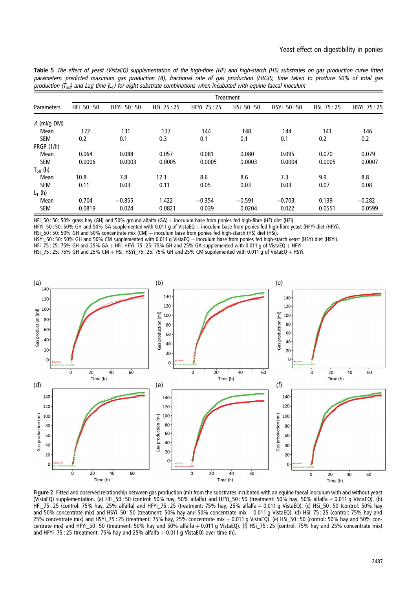<span id="page-6-0"></span>Table 5 The effect of yeast (VistaEQ) supplementation of the high-fibre (HF) and high-starch (HS) substrates on gas production curve fitted parameters: predicted maximum gas production (A), fractional rate of gas production (FRGP), time taken to produce 50% of total gas production ( $T_{50}$ ) and Lag time (L<sub>T</sub>) for eight substrate combinations when incubated with equine faecal inoculum

|               | Treatment |            |           |            |           |            |           |            |
|---------------|-----------|------------|-----------|------------|-----------|------------|-----------|------------|
| Parameters    | HFi 50:50 | HFYi 50:50 | HFi 75:25 | HFYi 75:25 | HSi 50:50 | HSYi 50:50 | HSi 75:25 | HSYi 75:25 |
| $A$ (ml/g DM) |           |            |           |            |           |            |           |            |
| Mean          | 122       | 131        | 137       | 144        | 148       | 144        | 141       | 146        |
| <b>SEM</b>    | 0.2       | 0.1        | 0.3       | 0.1        | 0.1       | 0.1        | 0.2       | 0.2        |
| FRGP(1/h)     |           |            |           |            |           |            |           |            |
| Mean          | 0.064     | 0.088      | 0.057     | 0.081      | 0.080     | 0.095      | 0.070     | 0.079      |
| <b>SEM</b>    | 0.0006    | 0.0003     | 0.0005    | 0.0005     | 0.0003    | 0.0004     | 0.0005    | 0.0007     |
| $T_{50}$ (h)  |           |            |           |            |           |            |           |            |
| Mean          | 10.8      | 7.8        | 12.1      | 8.6        | 8.6       | 7.3        | 9.9       | 8.8        |
| <b>SEM</b>    | 0.11      | 0.03       | 0.11      | 0.05       | 0.03      | 0.03       | 0.07      | 0.08       |
| $L_T(h)$      |           |            |           |            |           |            |           |            |
| Mean          | 0.704     | $-0.855$   | 1.422     | $-0.354$   | $-0.591$  | $-0.703$   | 0.139     | $-0.282$   |
| <b>SEM</b>    | 0.0819    | 0.024      | 0.0821    | 0.039      | 0.0204    | 0.022      | 0.0551    | 0.0599     |

HFi 50: 50: 50% grass hay (GH) and 50% ground alfalfa (GA)  $+$  inoculum base from ponies fed high-fibre (HF) diet (HFi).

HFYi\_50 : 50% GH and 50% GA supplemented with 0.011 g of VistaEQ + inoculum base from ponies fed high-fibre yeast (HFY) diet (HFYi).

HSi\_50 : 50: 50% GH and 50% concentrate mix (CM) + inoculum base from ponies fed high-starch (HS) diet (HSi).

HSYi\_50: 50% GH and 50% CM supplemented with 0.011 g VistaEQ + inoculum base from ponies fed high-starch yeast (HSY) diet (HSYi).

HFi\_75 : 25: 75% GH and 25% GA + HFi; HFYi\_75 : 25: 75% GH and 25% GA supplemented with 0.011 g of VistaEQ  $+$  HFYi.

HSi\_75 : 25: 75% GH and 25% CM + HSi; HSYi\_75 : 25: 75% GH and 25% CM supplemented with 0.011 g of VistaEQ + HSYi.



Figure 2 Fitted and observed relationship between gas production (ml) from the substrates incubated with an equine faecal inoculum with and without yeast (VistaEQ) supplementation. (a) HFi\_50 : 50 (control: 50% hay, 50% alfalfa) and HFYi\_50 : 50 (treatment: 50% hay, 50% alfalfa þ 0.011 g VistaEQ). (b) HFi\_75 : 25 (control: 75% hay, 25% alfalfa) and HFYi\_75 : 25 (treatment: 75% hay, 25% alfalfa þ 0.011 g VistaEQ). (c) HSi\_50 : 50 (control: 50% hay and 50% concentrate mix) and HSYi\_50 : 50 (treatment: 50% hay and 50% concentrate mix + 0.011 g VistaEQ). (d) HSi\_75 : 25 (control: 75% hay and<br>25% and 50% concentrate mix) and HSYi\_50 : 55 (treatment: 50% hay and 50% conc 25% concentrate mix) and HSYi\_75 : 25 (treatment: 75% hay, 25% concentrate mix þ 0.011 g VistaEQ). (e) HSi\_50 : 50 (control: 50% hay and 50% concentrate mix) and HFYi\_50 : 50 (treatment: 50% hay and 50% alfalfa + 0.011 g VistaEQ). (f) HSi\_75 : 25 (control: 75% hay and 25% concentrate mix) and HFYi\_75 : 25 (treatment: 75% hay and 25% alfalfa  $+$  0.011 g VistaEQ) over time (h).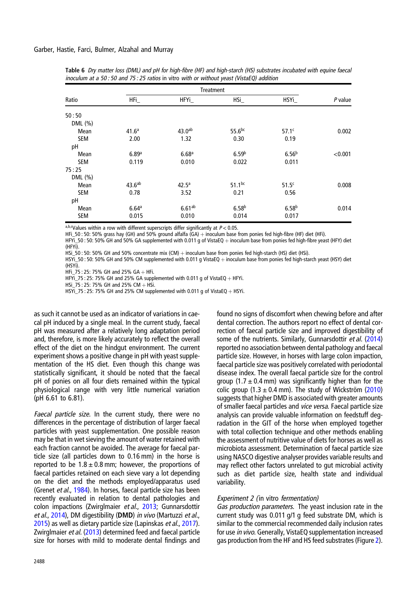|            |                    | <b>Treatment</b>   |                    |                   |         |  |  |
|------------|--------------------|--------------------|--------------------|-------------------|---------|--|--|
| Ratio      | HFL                | HFYi_              | HSi                | HSYi              | P value |  |  |
| 50:50      |                    |                    |                    |                   |         |  |  |
| DML (%)    |                    |                    |                    |                   |         |  |  |
| Mean       | 41.6 <sup>a</sup>  | 43.0 <sup>ab</sup> | 55.6 <sup>bc</sup> | 57.1 <sup>c</sup> | 0.002   |  |  |
| <b>SEM</b> | 2.00               | 1.32               | 0.30               | 0.19              |         |  |  |
| pH         |                    |                    |                    |                   |         |  |  |
| Mean       | 6.89a              | 6.68 <sup>a</sup>  | 6.59 <sup>b</sup>  | 6.56 <sup>b</sup> | < 0.001 |  |  |
| <b>SEM</b> | 0.119              | 0.010              | 0.022              | 0.011             |         |  |  |
| 75:25      |                    |                    |                    |                   |         |  |  |
| DML (%)    |                    |                    |                    |                   |         |  |  |
| Mean       | 43.6 <sup>ab</sup> | $42.5^{\circ}$     | $51.1^{bc}$        | 51.5 <sup>c</sup> | 0.008   |  |  |
| <b>SEM</b> | 0.78               | 3.52               | 0.21               | 0.56              |         |  |  |
| pH         |                    |                    |                    |                   |         |  |  |
| Mean       | 6.64a              | $6.61^{ab}$        | 6.58 <sup>b</sup>  | 6.58 <sup>b</sup> | 0.014   |  |  |
| <b>SEM</b> | 0.015              | 0.010              | 0.014              | 0.017             |         |  |  |

<span id="page-7-0"></span>Table 6 Dry matter loss (DML) and pH for high-fibre (HF) and high-starch (HS) substrates incubated with equine faecal inoculum at a 50 : 50 and 75 : 25 ratios in vitro with or without yeast (VistaEQ) addition

a,b,cValues within a row with different superscripts differ significantly at  $P < 0.05$ .

HFi\_50 : 50: 50% grass hay (GH) and 50% ground alfalfa (GA) + inoculum base from ponies fed high-fibre (HF) diet (HFi).

HFYi\_50 : 50: 50% GH and 50% GA supplemented with 0.011 g of VistaEQ + inoculum base from ponies fed high-fibre yeast (HFY) diet (HFYi).

HSi\_50 : 50: 50% GH and 50% concentrate mix (CM) + inoculum base from ponies fed high-starch (HS) diet (HSi).

HSYi\_50: 50: 50% GH and 50% CM supplemented with 0.011 g VistaEQ + inoculum base from ponies fed high-starch yeast (HSY) diet (HSYi).

HFi\_75 : 25: 75% GH and 25% GA + HFi.

HFYi\_75 : 25: 75% GH and 25% GA supplemented with 0.011 g of VistaEQ  $+$  HFYi.

 $HSI_2$ 75 : 25: 75% GH and 25% CM + HSi.

HSYi\_75 : 25: 75% GH and 25% CM supplemented with 0.011 g of VistaEQ  $+$  HSYi.

as such it cannot be used as an indicator of variations in caecal pH induced by a single meal. In the current study, faecal pH was measured after a relatively long adaptation period and, therefore, is more likely accurately to reflect the overall effect of the diet on the hindgut environment. The current experiment shows a positive change in pH with yeast supplementation of the HS diet. Even though this change was statistically significant, it should be noted that the faecal pH of ponies on all four diets remained within the typical physiological range with very little numerical variation (pH 6.61 to 6.81).

Faecal particle size. In the current study, there were no differences in the percentage of distribution of larger faecal particles with yeast supplementation. One possible reason may be that in wet sieving the amount of water retained with each fraction cannot be avoided. The average for faecal particle size (all particles down to 0.16 mm) in the horse is reported to be  $1.8 \pm 0.8$  mm; however, the proportions of faecal particles retained on each sieve vary a lot depending on the diet and the methods employed/apparatus used (Grenet et al., [1984](#page-10-0)). In horses, faecal particle size has been recently evaluated in relation to dental pathologies and colon impactions (Zwirglmaier et al., [2013;](#page-11-0) Gunnarsdottir et al., [2014\)](#page-10-0), DM digestibility (DMD) in vivo (Martuzzi et al., [2015\)](#page-10-0) as well as dietary particle size (Lapinskas et al., [2017](#page-10-0)). Zwirglmaier et al. [\(2013](#page-11-0)) determined feed and faecal particle size for horses with mild to moderate dental findings and

2488

found no signs of discomfort when chewing before and after dental correction. The authors report no effect of dental correction of faecal particle size and improved digestibility of some of the nutrients. Similarly, Gunnarsdottir *et al.* ([2014](#page-10-0)) reported no association between dental pathology and faecal particle size. However, in horses with large colon impaction, faecal particle size was positively correlated with periodontal disease index. The overall faecal particle size for the control group  $(1.7 \pm 0.4 \text{ mm})$  was significantly higher than for the colic group  $(1.3 \pm 0.4 \text{ mm})$ . The study of Wickström  $(2010)$  $(2010)$  $(2010)$ suggests that higher DMD is associated with greater amounts of smaller faecal particles and vice versa. Faecal particle size analysis can provide valuable information on feedstuff degradation in the GIT of the horse when employed together with total collection technique and other methods enabling the assessment of nutritive value of diets for horses as well as microbiota assessment. Determination of faecal particle size using NASCO digestive analyser provides variable results and may reflect other factors unrelated to gut microbial activity such as diet particle size, health state and individual variability.

## Experiment 2 (in vitro fermentation)

Gas production parameters. The yeast inclusion rate in the current study was 0.011 g/1 g feed substrate DM, which is similar to the commercial recommended daily inclusion rates for use in vivo. Generally, VistaEQ supplementation increased gas production from the HF and HS feed substrates (Figure [2\)](#page-6-0).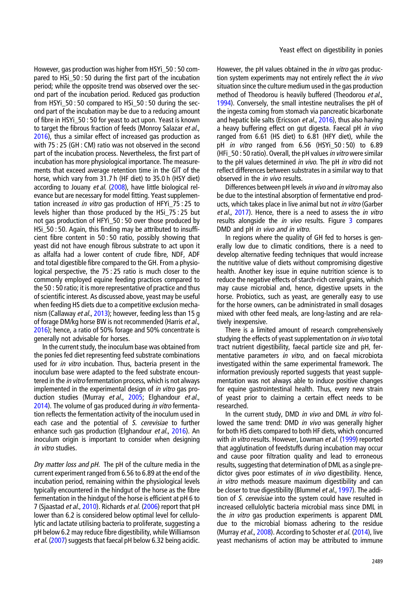However, gas production was higher from HSYi\_50 : 50 compared to HSi\_50 : 50 during the first part of the incubation period; while the opposite trend was observed over the second part of the incubation period. Reduced gas production from HSYi\_50 : 50 compared to HSi\_50 : 50 during the second part of the incubation may be due to a reducing amount of fibre in HSYi\_50 : 50 for yeast to act upon. Yeast is known to target the fibrous fraction of feeds (Monroy Salazar et al., [2016\)](#page-10-0), thus a similar effect of increased gas production as with 75 : 25 (GH : CM) ratio was not observed in the second part of the incubation process. Nevertheless, the first part of incubation has more physiological importance. The measurements that exceed average retention time in the GIT of the horse, which vary from 31.7 h (HF diet) to 35.0 h (HSY diet) according to Jouany et al. ([2008\)](#page-10-0), have little biological relevance but are necessary for model fitting. Yeast supplementation increased in vitro gas production of HFYi\_75 : 25 to levels higher than those produced by the HSi\_75 : 25 but not gas production of HFYi\_50 : 50 over those produced by HSi\_50 : 50. Again, this finding may be attributed to insufficient fibre content in 50 : 50 ratio, possibly showing that yeast did not have enough fibrous substrate to act upon it as alfalfa had a lower content of crude fibre, NDF, ADF and total digestible fibre compared to the GH. From a physiological perspective, the 75 : 25 ratio is much closer to the commonly employed equine feeding practices compared to the 50 : 50 ratio; it is more representative of practice and thus of scientific interest. As discussed above, yeast may be useful when feeding HS diets due to a competitive exclusion mecha-nism (Callaway et al., [2013](#page-10-0)); however, feeding less than 15 g of forage DM/kg horse BW is not recommended (Harris et al., [2016\)](#page-10-0); hence, a ratio of 50% forage and 50% concentrate is generally not advisable for horses.

In the current study, the inoculum base was obtained from the ponies fed diet representing feed substrate combinations used for in vitro incubation. Thus, bacteria present in the inoculum base were adapted to the feed substrate encountered in the *in vitro* fermentation process, which is not always implemented in the experimental design of *in vitro* gas pro-duction studies (Murray et al., [2005;](#page-10-0) Elghandour et al., [2014\)](#page-10-0). The volume of gas produced during in vitro fermentation reflects the fermentation activity of the inoculum used in each case and the potential of S. cerevisiae to further enhance such gas production (Elghandour et al., [2016\)](#page-10-0). An inoculum origin is important to consider when designing in vitro studies.

Dry matter loss and pH. The pH of the culture media in the current experiment ranged from 6.56 to 6.89 at the end of the incubation period, remaining within the physiological levels typically encountered in the hindgut of the horse as the fibre fermentation in the hindgut of the horse is efficient at pH 6 to 7 (Sjaastad et al., [2010\)](#page-11-0). Richards et al. [\(2006](#page-10-0)) report that pH lower than 6.2 is considered below optimal level for cellulolytic and lactate utilising bacteria to proliferate, suggesting a pH below 6.2 may reduce fibre digestibility, while Williamson et al. ([2007\)](#page-11-0) suggests that faecal pH below 6.32 being acidic.

However, the pH values obtained in the *in vitro* gas production system experiments may not entirely reflect the *in vivo* situation since the culture medium used in the gas production method of Theodorou is heavily buffered (Theodorou et al., [1994\)](#page-11-0). Conversely, the small intestine neutralises the pH of the ingesta coming from stomach via pancreatic bicarbonate and hepatic bile salts (Ericsson et al., [2016\)](#page-10-0), thus also having a heavy buffering effect on gut digesta. Faecal pH in vivo ranged from 6.61 (HS diet) to 6.81 (HFY diet), while the pH *in vitro* ranged from  $6.56$  (HSYi  $50 : 50$ ) to  $6.89$ (HFi 50 : 50 ratio). Overall, the pH values in vitro were similar to the pH values determined in vivo. The pH in vitro did not reflect differences between substrates in a similar way to that observed in the *in vivo* results.

Differences between pH levels in vivo and in vitro may also be due to the intestinal absorption of fermentative end products, which takes place in live animal but not in vitro (Garber et al., [2017\)](#page-10-0). Hence, there is a need to assess the *in vitro* results alongside the  $in$  vivo results. Figure  $3$  compares DMD and pH in vivo and in vitro.

In regions where the quality of GH fed to horses is generally low due to climatic conditions, there is a need to develop alternative feeding techniques that would increase the nutritive value of diets without compromising digestive health. Another key issue in equine nutrition science is to reduce the negative effects of starch-rich cereal grains, which may cause microbial and, hence, digestive upsets in the horse. Probiotics, such as yeast, are generally easy to use for the horse owners, can be administrated in small dosages mixed with other feed meals, are long-lasting and are relatively inexpensive.

There is a limited amount of research comprehensively studying the effects of yeast supplementation on *in vivo* total tract nutrient digestibility, faecal particle size and pH, fermentative parameters in vitro, and on faecal microbiota investigated within the same experimental framework. The information previously reported suggests that yeast supplementation was not always able to induce positive changes for equine gastrointestinal health. Thus, every new strain of yeast prior to claiming a certain effect needs to be researched.

In the current study, DMD in vivo and DML in vitro followed the same trend: DMD in vivo was generally higher for both HS diets compared to both HF diets, which concurred with *in vitro* results. However, Lowman et al. ([1999\)](#page-10-0) reported that agglutination of feedstuffs during incubation may occur and cause poor filtration quality and lead to erroneous results, suggesting that determination of DML as a single predictor gives poor estimates of in vivo digestibility. Hence, in vitro methods measure maximum digestibility and can be closer to true digestibility (Blummel et al., [1997\)](#page-10-0). The addition of S. cerevisiae into the system could have resulted in increased cellulolytic bacteria microbial mass since DML in the *in vitro* gas production experiments is apparent DML due to the microbial biomass adhering to the residue (Murray et al., [2008](#page-10-0)). According to Schoster et al. ([2014\)](#page-10-0), live yeast mechanisms of action may be attributed to immune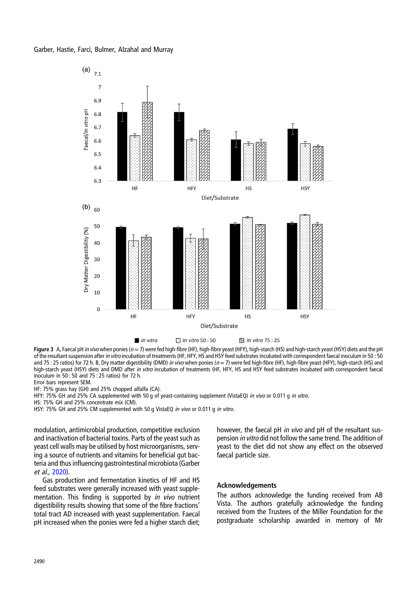<span id="page-9-0"></span>

Figure 3 A, Faecal pH in vivo when ponies ( $n = 7$ ) were fed high-fibre (HF), high-fibre yeast (HFY), high-starch (HS) and high-starch yeast (HSY) diets and the pH of the resultant suspension after in vitro incubation of treatments (HF, HFY, HS and HSY feed substrates incubated with correspondent faecal inoculum in 50 : 50 and 75 : 25 ratios) for 72 h. B, Dry matter digestibility (DMD) in vivo when ponies ( $n = 7$ ) were fed high-fibre (HF), high-fibre yeast (HFY), high-starch (HS) and high-starch yeast (HSY) diets and DMD after in vitro incubation of treatments (HF, HFY, HS and HSY feed substrates incubated with correspondent faecal inoculum in 50 : 50 and 75 : 25 ratios) for 72 h.

Error bars represent SEM.

HF: 75% grass hay (GH) and 25% chopped alfalfa (CA).

HFY: 75% GH and 25% CA supplemented with 50 g of yeast-containing supplement (VistaEQ) in vivo or 0.011 g in vitro.

HS: 75% GH and 25% concentrate mix (CM).

HSY: 75% GH and 25% CM supplemented with 50 g VistaEQ in vivo or 0.011 g in vitro.

modulation, antimicrobial production, competitive exclusion and inactivation of bacterial toxins. Parts of the yeast such as yeast cell walls may be utilised by host microorganisms, serving a source of nutrients and vitamins for beneficial gut bacteria and thus influencing gastrointestinal microbiota (Garber et al., [2020\)](#page-10-0).

Gas production and fermentation kinetics of HF and HS feed substrates were generally increased with yeast supplementation. This finding is supported by *in vivo* nutrient digestibility results showing that some of the fibre fractions' total tract AD increased with yeast supplementation. Faecal pH increased when the ponies were fed a higher starch diet;

however, the faecal pH in vivo and pH of the resultant suspension in vitro did not follow the same trend. The addition of yeast to the diet did not show any effect on the observed faecal particle size.

#### Acknowledgements

The authors acknowledge the funding received from AB Vista. The authors gratefully acknowledge the funding received from the Trustees of the Miller Foundation for the postgraduate scholarship awarded in memory of Mr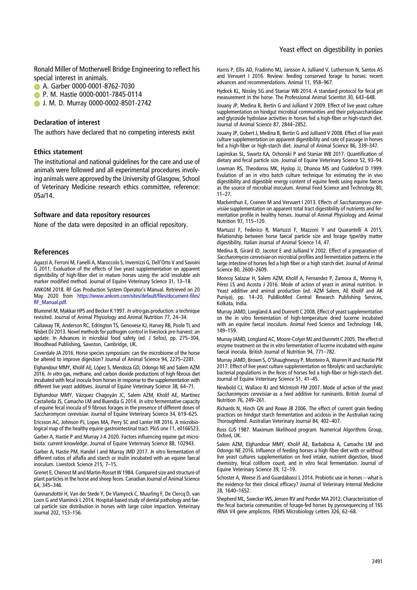<span id="page-10-0"></span>Ronald Miller of Motherwell Bridge Engineering to reflect his special interest in animals.

**B.** A. Garber 0000-0001-8762-7030

**D** P. M. Hastie 0000-0001-7845-0114

**D** J. M. D. Murray 0000-0002-8501-2742

#### Declaration of interest

The authors have declared that no competing interests exist

#### Ethics statement

The institutional and national guidelines for the care and use of animals were followed and all experimental procedures involving animals were approved by the University of Glasgow, School of Veterinary Medicine research ethics committee, reference: 05a/14.

#### Software and data repository resources

None of the data were deposited in an official repository.

#### References

Agazzi A, Ferroni M, Fanelli A, Maroccolo S, Invernizzi G, Dell'Orto V and Savoini G 2011. Evaluation of the effects of live yeast supplementation on apparent digestibility of high-fiber diet in mature horses using the acid insoluble ash marker modified method. Journal of Equine Veterinary Science 31, 13–18.

ANKOM 2018. RF Gas Production System Operator's Manual. Retrieved on 20 May 2020 from [https://www.ankom.com/sites/default/files/document-files/](https://www.ankom.com/sites/default/files/document-files/RF_Manual.pdf) [RF\\_Manual.pdf](https://www.ankom.com/sites/default/files/document-files/RF_Manual.pdf).

Blummel M, Makkar HPS and Becker K 1997. In vitro gas production: a technique revisited. Journal of Animal Physiology and Animal Nutrition 77, 24–34.

Callaway TR, Anderson RC, Edrington TS, Genovese KJ, Harvey RB, Poole TL and Nisbet DJ 2013. Novel methods for pathogen control in livestock pre-harvest: an update. In Advances in microbial food safety (ed. J Sofos), pp. 275–304, Woodhead Publishing, Sawston, Cambridge, UK.

Coverdale JA 2016. Horse species symposium: can the microbiome of the horse be altered to improve digestion? Journal of Animal Science 94, 2275–2281.

Elghandour MMY, Kholif AE, López S, Mendoza GD, Odongo NE and Salem AZM 2016. In vitro gas, methane, and carbon dioxide productions of high fibrous diet incubated with fecal inocula from horses in response to the supplementation with different live yeast additives. Journal of Equine Veterinary Science 38, 64–71.

Elghandour MMY, Vázquez Chagoyán JC, Salem AZM, Kholif AE, Martínez Castañeda JS, Camacho LM and Buendía G 2014. In vitro fermentative capacity of equine fecal inocula of 9 fibrous forages in the presence of different doses of Saccharomyces cerevisiae. Journal of Equine Veterinary Science 34, 619–625.

Ericsson AC, Johnson PJ, Lopes MA, Perry SC and Lanter HR 2016. A microbiological map of the healthy equine gastrointestinal tract. PloS one 11, e0166523.

Garber A, Hastie P and Murray J-A 2020. Factors influencing equine gut microbiota: current knowledge. Journal of Equine Veterinary Science 88, 102943.

Garber A, Hastie PM, Handel I and Murray JMD 2017. In vitro fermentation of different ratios of alfalfa and starch or inulin incubated with an equine faecal inoculum. Livestock Science 215, 7–15.

Grenet E, Chenost M and Martin-Rosset W 1984. Compared size and structure of plant particles in the horse and sheep feces. Canadian Journal of Animal Science 64, 345–346.

Gunnarsdottir H, Van der Stede Y, De Vlamynck C, Muurling F, De Clercq D, van Loon G and Vlaminck L 2014. Hospital-based study of dental pathology and faecal particle size distribution in horses with large colon impaction. Veterinary Journal 202, 153–156.

Harris P, Ellis AD, Fradinho MJ, Jansson A, Julliand V, Luthersson N, Santos AS and Vervuert I 2016. Review: feeding conserved forage to horses: recent advances and recommendations. Animal 11, 958–967.

Hydock KL, Nissley SG and Staniar WB 2014. A standard protocol for fecal pH measurement in the horse. The Professional Animal Scientist 30, 643–648.

Jouany JP, Medina B, Bertin G and Julliand V 2009. Effect of live yeast culture supplementation on hindgut microbial communities and their polysaccharidase and glycoside hydrolase activities in horses fed a high-fiber or high-starch diet. Journal of Animal Science 87, 2844–2852.

Jouany JP, Gobert J, Medina B, Bertin G and Julliand V 2008. Effect of live yeast culture supplementation on apparent digestibility and rate of passage in horses fed a high-fiber or high-starch diet. Journal of Animal Science 86, 339–347.

Lapinskas SL, Swartz KA, Ochonski P and Staniar WB 2017. Quantification of dietary and fecal particle size. Journal of Equine Veterinary Science 52, 93–94.

Lowman RS, Theodorou MK, Hyslop JJ, Dhanoa MS and Cuddeford D 1999. Evulation of an in vitro batch culture technique for estimating the in vivo digestibility and digestible energy content of equine feeds using equine faeces as the source of microbial inoculum. Animal Feed Science and Technology 80, 11–27.

Mackenthun E, Coenen M and Vervuert I 2013. Effects of Saccharomyces cerevisiae supplementation on apparent total tract digestibility of nutrients and fermentation profile in healthy horses. Journal of Animal Physiology and Animal Nutrition 97, 115–120.

Martuzzi F, Federico R, Martuzzi F, Mazzoni Y and Quarantelli A 2015. Relationship between horse faecal particle size and forage type/dry matter digestibility. Italian Journal of Animal Science 14, 47.

Medina B, Girard ID, Jacotot E and Julliand V 2002. Effect of a preparation of Saccharomyces cerevisiae on microbial profiles and fermentation patterns in the large intestine of horses fed a high fiber or a high starch diet. Journal of Animal Science 80, 2600–2609.

Monroy Salazar H, Salem AZM, Kholif A, Fernandez P, Zamora JL, Monroy H, Pérez LS and Acosta J 2016. Mode of action of yeast in animal nutrition. In Yeast additive and animal production (ed. AZM Salem, AE Kholif and AK Puniya), pp. 14–20, PubBioMed Central Research Publishing Services, Kolkata, India.

Murray JAMD, Longland A and Dunnett C 2008. Effect of yeast supplementation on the in vitro fermentation of high-temperature dried lucerne incubated with an equine faecal inoculum. Animal Feed Science and Technology 146, 149–159.

Murray JAMD, Longland AC, Moore-Colyer MJ and Dunnett C 2005. The effect of enzyme treatment on the in vitro fermentation of lucerne incubated with equine faecal inocula. British Journal of Nutrition 94, 771–782.

Murray JAMD, Brown S, O'Shaughnessy P, Monteiro A, Warren H and Hastie PM 2017. Effect of live yeast culture supplementation on fibrolytic and saccharolytic bacterial populations in the feces of horses fed a high-fiber or high-starch diet. Journal of Equine Veterinary Science 51, 41–45.

Newbold CJ, Wallace RJ and McIntosh FM 2007. Mode of action of the yeast Saccharomyces cerevisiae as a feed additive for ruminants. British Journal of Nutrition 76, 249–261.

Richards N, Hinch GN and Rowe JB 2006. The effect of current grain feeding practices on hindgut starch fermentation and acidosis in the Australian racing Thoroughbred. Australian Veterinary Journal 84, 402–407.

Ross GJS 1987. Maximum likelihood program. Numerical Algorithms Group, Oxford, UK.

Salem AZM, Elghandour MMY, Kholif AE, Barbabosa A, Camacho LM and Odongo NE 2016. Influence of feeding horses a high fiber diet with or without live yeast cultures supplementation on feed intake, nutrient digestion, blood chemistry, fecal coliform count, and in vitro fecal fermentation. Journal of Equine Veterinary Science 39, 12–19.

Schoster A, Weese JS and Guardabassi L 2014. Probiotic use in horses – what is the evidence for their clinical efficacy? Journal of Veterinary Internal Medicine 28, 1640–1652.

Shepherd ML, Swecker WS, Jensen RV and Ponder MA 2012. Characterization of the fecal bacteria communities of forage-fed horses by pyrosequencing of 16S rRNA V4 gene amplicons. FEMS Microbiology Letters 326, 62–68.